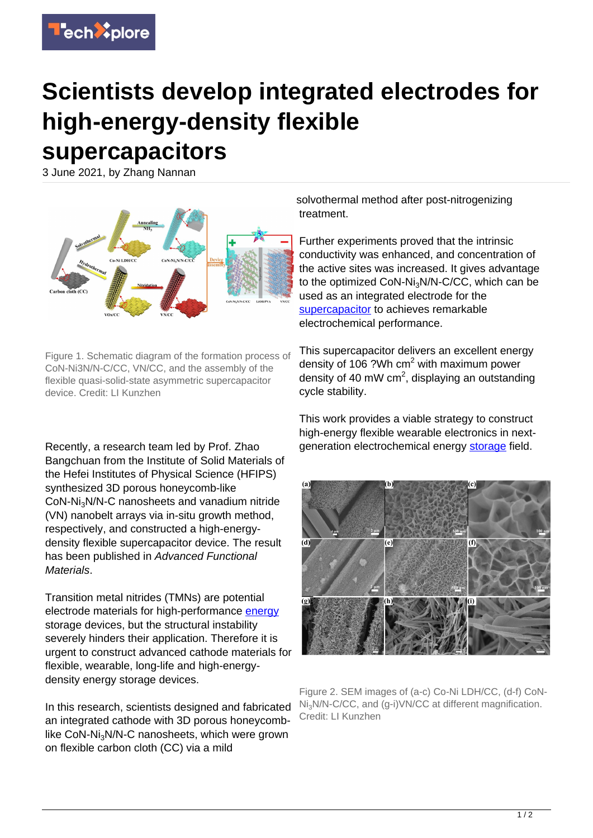## **Scientists develop integrated electrodes for high-energy-density flexible supercapacitors**

3 June 2021, by Zhang Nannan



Figure 1. Schematic diagram of the formation process of CoN-Ni3N/N-C/CC, VN/CC, and the assembly of the flexible quasi-solid-state asymmetric supercapacitor device. Credit: LI Kunzhen

Recently, a research team led by Prof. Zhao Bangchuan from the Institute of Solid Materials of the Hefei Institutes of Physical Science (HFIPS) synthesized 3D porous honeycomb-like CoN-Ni3N/N-C nanosheets and vanadium nitride (VN) nanobelt arrays via in-situ growth method, respectively, and constructed a high-energydensity flexible supercapacitor device. The result has been published in Advanced Functional Materials.

Transition metal nitrides (TMNs) are potential electrode materials for high-performance [energy](https://techxplore.com/tags/energy/) storage devices, but the structural instability severely hinders their application. Therefore it is urgent to construct advanced cathode materials for flexible, wearable, long-life and high-energydensity energy storage devices.

In this research, scientists designed and fabricated an integrated cathode with 3D porous honeycomblike CoN-Ni<sub>3</sub>N/N-C nanosheets, which were grown on flexible carbon cloth (CC) via a mild

solvothermal method after post-nitrogenizing treatment.

Further experiments proved that the intrinsic conductivity was enhanced, and concentration of the active sites was increased. It gives advantage to the optimized CoN-Ni<sub>3</sub>N/N-C/CC, which can be used as an integrated electrode for the [supercapacitor](https://techxplore.com/tags/supercapacitor/) to achieves remarkable electrochemical performance.

This supercapacitor delivers an excellent energy density of 106 ?Wh cm<sup>2</sup> with maximum power density of 40 mW cm<sup>2</sup>, displaying an outstanding cycle stability.

This work provides a viable strategy to construct high-energy flexible wearable electronics in nextgeneration electrochemical energy [storage](https://techxplore.com/tags/storage/) field.



Figure 2. SEM images of (a-c) Co-Ni LDH/CC, (d-f) CoN-Ni3N/N-C/CC, and (g-i)VN/CC at different magnification. Credit: LI Kunzhen